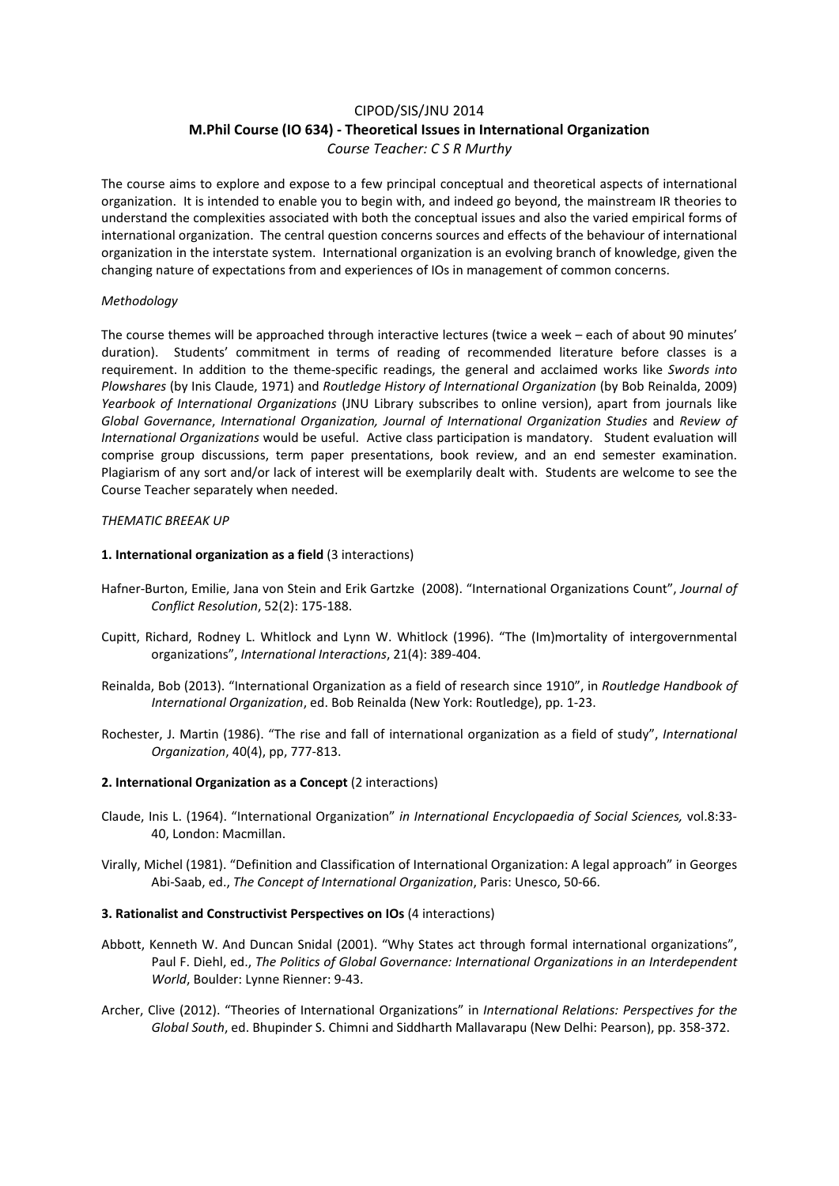# CIPOD/SIS/JNU 2014 **M.Phil Course (IO 634) ‐ Theoretical Issues in International Organization** *Course Teacher: C S R Murthy*

The course aims to explore and expose to a few principal conceptual and theoretical aspects of international organization. It is intended to enable you to begin with, and indeed go beyond, the mainstream IR theories to understand the complexities associated with both the conceptual issues and also the varied empirical forms of international organization. The central question concerns sources and effects of the behaviour of international organization in the interstate system. International organization is an evolving branch of knowledge, given the changing nature of expectations from and experiences of IOs in management of common concerns.

## *Methodology*

The course themes will be approached through interactive lectures (twice a week – each of about 90 minutes' duration). Students' commitment in terms of reading of recommended literature before classes is a requirement. In addition to the theme‐specific readings, the general and acclaimed works like *Swords into Plowshares* (by Inis Claude, 1971) and *Routledge History of International Organization* (by Bob Reinalda, 2009) *Yearbook of International Organizations* (JNU Library subscribes to online version), apart from journals like *Global Governance*, *International Organization, Journal of International Organization Studies* and *Review of International Organizations* would be useful. Active class participation is mandatory. Student evaluation will comprise group discussions, term paper presentations, book review, and an end semester examination. Plagiarism of any sort and/or lack of interest will be exemplarily dealt with. Students are welcome to see the Course Teacher separately when needed.

## *THEMATIC BREEAK UP*

## **1. International organization as a field** (3 interactions)

- Hafner‐Burton, Emilie, Jana von Stein and Erik Gartzke (2008). "International Organizations Count", *Journal of Conflict Resolution*, 52(2): 175‐188.
- Cupitt, Richard, Rodney L. Whitlock and Lynn W. Whitlock (1996). "The (Im)mortality of intergovernmental organizations", *International Interactions*, 21(4): 389‐404.
- Reinalda, Bob (2013). "International Organization as a field of research since 1910", in *Routledge Handbook of International Organization*, ed. Bob Reinalda (New York: Routledge), pp. 1‐23.
- Rochester, J. Martin (1986). "The rise and fall of international organization as a field of study", *International Organization*, 40(4), pp, 777‐813.

## **2. International Organization as a Concept** (2 interactions)

- Claude, Inis L. (1964). "International Organization" *in International Encyclopaedia of Social Sciences,* vol.8:33‐ 40, London: Macmillan.
- Virally, Michel (1981). "Definition and Classification of International Organization: A legal approach" in Georges Abi‐Saab, ed., *The Concept of International Organization*, Paris: Unesco, 50‐66.

## **3. Rationalist and Constructivist Perspectives on IOs** (4 interactions)

- Abbott, Kenneth W. And Duncan Snidal (2001). "Why States act through formal international organizations", Paul F. Diehl, ed., *The Politics of Global Governance: International Organizations in an Interdependent World*, Boulder: Lynne Rienner: 9‐43.
- Archer, Clive (2012). "Theories of International Organizations" in *International Relations: Perspectives for the Global South*, ed. Bhupinder S. Chimni and Siddharth Mallavarapu (New Delhi: Pearson), pp. 358‐372.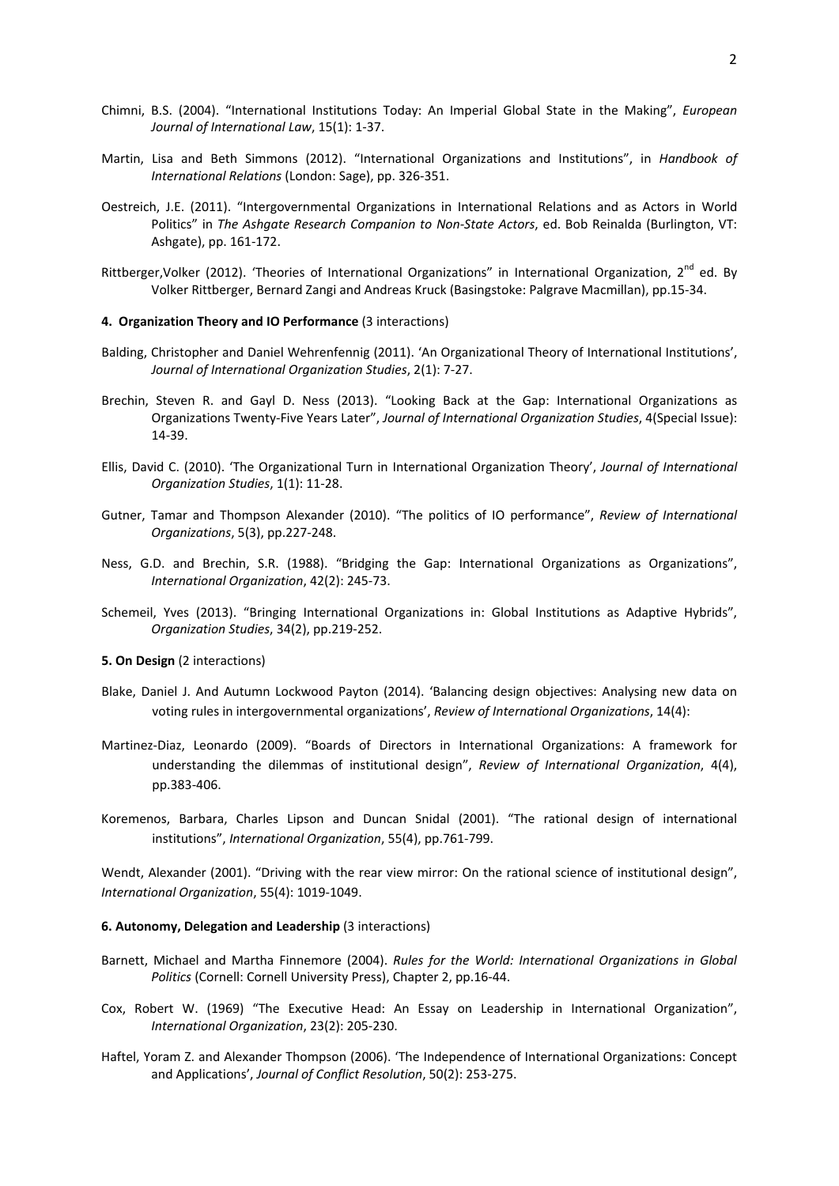- Chimni, B.S. (2004). "International Institutions Today: An Imperial Global State in the Making", *European Journal of International Law*, 15(1): 1‐37.
- Martin, Lisa and Beth Simmons (2012). "International Organizations and Institutions", in *Handbook of International Relations* (London: Sage), pp. 326‐351.
- Oestreich, J.E. (2011). "Intergovernmental Organizations in International Relations and as Actors in World Politics" in *The Ashgate Research Companion to Non‐State Actors*, ed. Bob Reinalda (Burlington, VT: Ashgate), pp. 161‐172.
- Rittberger, Volker (2012). 'Theories of International Organizations" in International Organization, 2<sup>nd</sup> ed. By Volker Rittberger, Bernard Zangi and Andreas Kruck (Basingstoke: Palgrave Macmillan), pp.15‐34.

#### **4. Organization Theory and IO Performance** (3 interactions)

- Balding, Christopher and Daniel Wehrenfennig (2011). 'An Organizational Theory of International Institutions', *Journal of International Organization Studies*, 2(1): 7‐27.
- Brechin, Steven R. and Gayl D. Ness (2013). "Looking Back at the Gap: International Organizations as Organizations Twenty‐Five Years Later", *Journal of International Organization Studies*, 4(Special Issue): 14‐39.
- Ellis, David C. (2010). 'The Organizational Turn in International Organization Theory', *Journal of International Organization Studies*, 1(1): 11‐28.
- Gutner, Tamar and Thompson Alexander (2010). "The politics of IO performance", *Review of International Organizations*, 5(3), pp.227‐248.
- Ness, G.D. and Brechin, S.R. (1988). "Bridging the Gap: International Organizations as Organizations", *International Organization*, 42(2): 245‐73.
- Schemeil, Yves (2013). "Bringing International Organizations in: Global Institutions as Adaptive Hybrids", *Organization Studies*, 34(2), pp.219‐252.

#### **5. On Design** (2 interactions)

- Blake, Daniel J. And Autumn Lockwood Payton (2014). 'Balancing design objectives: Analysing new data on voting rules in intergovernmental organizations', *Review of International Organizations*, 14(4):
- Martinez‐Diaz, Leonardo (2009). "Boards of Directors in International Organizations: A framework for understanding the dilemmas of institutional design", *Review of International Organization*, 4(4), pp.383‐406.
- Koremenos, Barbara, Charles Lipson and Duncan Snidal (2001). "The rational design of international institutions", *International Organization*, 55(4), pp.761‐799.

Wendt, Alexander (2001). "Driving with the rear view mirror: On the rational science of institutional design", *International Organization*, 55(4): 1019‐1049.

### **6. Autonomy, Delegation and Leadership** (3 interactions)

- Barnett, Michael and Martha Finnemore (2004). *Rules for the World: International Organizations in Global Politics* (Cornell: Cornell University Press), Chapter 2, pp.16‐44.
- Cox, Robert W. (1969) "The Executive Head: An Essay on Leadership in International Organization", *International Organization*, 23(2): 205‐230.
- Haftel, Yoram Z. and Alexander Thompson (2006). 'The Independence of International Organizations: Concept and Applications', *Journal of Conflict Resolution*, 50(2): 253‐275.